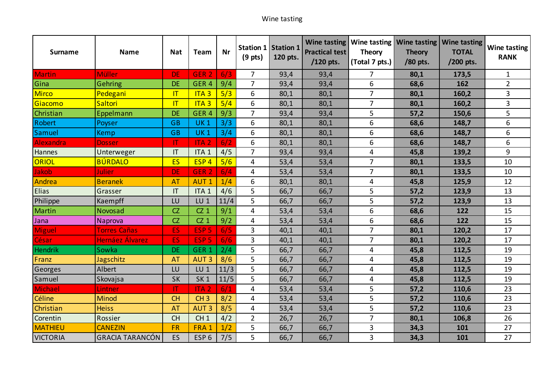## Wine tasting

| <b>Surname</b>  | <b>Name</b>            | <b>Nat</b>             | Team             | Nr   | Station 1 Station 1<br>$(9$ pts) | 120 pts. | <b>Practical test</b><br>/120 pts. | <b>Theory</b><br>(Total 7 pts.) | <b>Theory</b><br>/80 pts. | Wine tasting   Wine tasting   Wine tasting   Wine tasting<br><b>TOTAL</b><br>/200 pts. | <b>Wine tasting</b><br><b>RANK</b> |
|-----------------|------------------------|------------------------|------------------|------|----------------------------------|----------|------------------------------------|---------------------------------|---------------------------|----------------------------------------------------------------------------------------|------------------------------------|
| Martin          | <b>Müller</b>          | <b>DE</b>              | GER <sub>2</sub> | 6/3  | 7                                | 93,4     | 93,4                               | 7                               | 80,1                      | 173,5                                                                                  | 1                                  |
| Gina            | Gehring                | <b>DE</b>              | GER <sub>4</sub> | 9/4  | $\overline{7}$                   | 93,4     | 93,4                               | 6                               | 68,6                      | 162                                                                                    | $\overline{2}$                     |
| <b>Mirco</b>    | Pedegani               | T                      | ITA <sub>3</sub> | 5/3  | 6                                | 80,1     | 80,1                               | $\overline{7}$                  | 80,1                      | 160,2                                                                                  | 3                                  |
| Giacomo         | Saltori                | $\mathsf{I}\mathsf{T}$ | ITA <sub>3</sub> | 5/4  | 6                                | 80,1     | 80,1                               | 7                               | 80,1                      | 160,2                                                                                  | 3                                  |
| Christian       | Eppelmann              | <b>DE</b>              | GER <sub>4</sub> | 9/3  | $\overline{7}$                   | 93,4     | 93,4                               | 5                               | 57,2                      | 150,6                                                                                  | 5                                  |
| Robert          | Poyser                 | <b>GB</b>              | <b>UK1</b>       | 3/3  | 6                                | 80,1     | 80,1                               | 6                               | 68,6                      | 148,7                                                                                  | 6                                  |
| Samuel          | Kemp                   | <b>GB</b>              | <b>UK1</b>       | 3/4  | 6                                | 80,1     | 80,1                               | 6                               | 68,6                      | 148,7                                                                                  | 6                                  |
| Alexandra       | <b>Dosser</b>          | П                      | <b>ITA2</b>      | 6/2  | 6                                | 80,1     | 80,1                               | 6                               | 68,6                      | 148,7                                                                                  | 6                                  |
| Hannes          | Unterweger             | $\mathsf{I}\mathsf{T}$ | ITA <sub>1</sub> | 4/5  | 7                                | 93,4     | 93,4                               | 4                               | 45,8                      | 139,2                                                                                  | 9                                  |
| ORIOL           | <b>BÚRDALO</b>         | <b>ES</b>              | ESP <sub>4</sub> | 5/6  | 4                                | 53,4     | 53,4                               | $\overline{7}$                  | 80,1                      | 133,5                                                                                  | 10                                 |
| Jakob           | Julier                 | <b>DE</b>              | GER <sub>2</sub> | 6/4  | 4                                | 53,4     | 53,4                               | $\overline{7}$                  | 80,1                      | 133,5                                                                                  | 10                                 |
| Andrea          | <b>Beranek</b>         | <b>AT</b>              | <b>AUT1</b>      | 1/4  | 6                                | 80,1     | 80,1                               | 4                               | 45,8                      | 125,9                                                                                  | 12                                 |
| <b>Elias</b>    | Grasser                | IT                     | ITA <sub>1</sub> | 4/6  | 5                                | 66,7     | 66,7                               | 5                               | 57,2                      | 123,9                                                                                  | 13                                 |
| Philippe        | Kaempff                | LU                     | $LU$ 1           | 11/4 | 5                                | 66,7     | 66,7                               | 5                               | 57,2                      | 123,9                                                                                  | 13                                 |
| Martin          | Novosad                | CZ                     | CZ <sub>1</sub>  | 9/1  | 4                                | 53,4     | 53,4                               | 6                               | 68,6                      | 122                                                                                    | 15                                 |
| Jana            | <b>Naprova</b>         | CZ                     | $CZ_1$           | 9/2  | 4                                | 53,4     | 53,4                               | 6                               | 68,6                      | 122                                                                                    | 15                                 |
| <b>Miguel</b>   | <b>Torres Cañas</b>    | ES                     | ESP <sub>5</sub> | 6/5  | 3                                | 40,1     | 40,1                               | 7                               | 80,1                      | 120,2                                                                                  | 17                                 |
| César           | <b>Hernáez Álvarez</b> | <b>ES</b>              | ESP <sub>5</sub> | 6/6  | 3                                | 40,1     | 40,1                               | $\overline{7}$                  | 80,1                      | 120,2                                                                                  | 17                                 |
| Hendrik         | Sowka                  | <b>DE</b>              | GER <sub>1</sub> | 2/4  | 5                                | 66,7     | 66,7                               | 4                               | 45,8                      | 112,5                                                                                  | 19                                 |
| Franz           | Jagschitz              | <b>AT</b>              | <b>AUT3</b>      | 8/6  | 5                                | 66,7     | 66,7                               | 4                               | 45,8                      | 112,5                                                                                  | 19                                 |
| Georges         | Albert                 | LU                     | $LU$ 1           | 11/3 | 5                                | 66,7     | 66,7                               | 4                               | 45,8                      | 112,5                                                                                  | 19                                 |
| Samuel          | Skovajsa               | SK                     | SK <sub>1</sub>  | 11/5 | 5                                | 66,7     | 66,7                               | 4                               | 45,8                      | 112,5                                                                                  | 19                                 |
| <b>Michael</b>  | Lintner                | IT                     | <b>ITA2</b>      | 6/1  | 4                                | 53,4     | 53,4                               | 5                               | 57,2                      | 110,6                                                                                  | 23                                 |
| Céline          | Minod                  | <b>CH</b>              | CH <sub>3</sub>  | 8/2  | 4                                | 53,4     | 53,4                               | 5                               | 57,2                      | 110,6                                                                                  | 23                                 |
| Christian       | <b>Heiss</b>           | <b>AT</b>              | <b>AUT3</b>      | 8/5  | 4                                | 53,4     | 53,4                               | 5                               | 57,2                      | 110,6                                                                                  | 23                                 |
| Corentin        | Rossier                | <b>CH</b>              | CH <sub>1</sub>  | 4/2  | $\overline{2}$                   | 26,7     | 26,7                               | $\overline{7}$                  | 80,1                      | 106,8                                                                                  | 26                                 |
| <b>MATHIEU</b>  | <b>CANEZIN</b>         | <b>FR</b>              | FRA <sub>1</sub> | 1/2  | 5                                | 66,7     | 66,7                               | 3                               | 34,3                      | 101                                                                                    | 27                                 |
| <b>VICTORIA</b> | <b>GRACIA TARANCÓN</b> | ES.                    | ESP <sub>6</sub> | 7/5  | 5                                | 66,7     | 66,7                               | 3                               | 34,3                      | 101                                                                                    | 27                                 |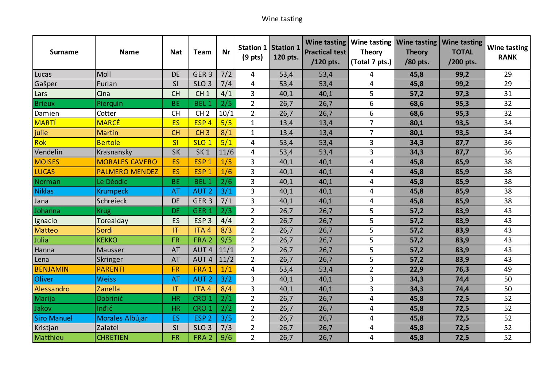## Wine tasting

| <b>Surname</b>     | <b>Name</b>           | <b>Nat</b> | Team             | <b>Nr</b> | $(9$ pts)      | Station 1 Station 1<br>120 pts. | <b>Practical test</b><br>/120 pts. | <b>Theory</b><br>(Total 7 pts.) | <b>Theory</b><br>/80 pts. | Wine tasting   Wine tasting   Wine tasting   Wine tasting<br><b>TOTAL</b><br>/200 pts. | Wine tasting<br><b>RANK</b> |
|--------------------|-----------------------|------------|------------------|-----------|----------------|---------------------------------|------------------------------------|---------------------------------|---------------------------|----------------------------------------------------------------------------------------|-----------------------------|
| Lucas              | Moll                  | <b>DE</b>  | GER <sub>3</sub> | 7/2       | 4              | 53,4                            | 53,4                               | 4                               | 45,8                      | 99,2                                                                                   | 29                          |
| Gašper             | Furlan                | SI         | SLO <sub>3</sub> | 7/4       | 4              | 53,4                            | 53,4                               | 4                               | 45,8                      | 99,2                                                                                   | 29                          |
| Lars               | Cina                  | <b>CH</b>  | CH <sub>1</sub>  | 4/1       | 3              | 40,1                            | 40,1                               | 5                               | 57,2                      | 97,3                                                                                   | 31                          |
| <b>Brieux</b>      | Pierquin              | <b>BE</b>  | <b>BEL1</b>      | 2/5       | $\overline{2}$ | 26,7                            | 26,7                               | 6                               | 68,6                      | 95,3                                                                                   | 32                          |
| Damien             | Cotter                | <b>CH</b>  | CH <sub>2</sub>  | 10/1      | $\overline{2}$ | 26,7                            | 26,7                               | 6                               | 68,6                      | 95,3                                                                                   | 32                          |
| <b>MARTÍ</b>       | <b>MARCÉ</b>          | <b>ES</b>  | ESP <sub>4</sub> | 5/5       | $\mathbf{1}$   | 13,4                            | 13,4                               | $\overline{7}$                  | 80,1                      | 93,5                                                                                   | 34                          |
| julie              | <b>Martin</b>         | <b>CH</b>  | CH <sub>3</sub>  | 8/1       | $\mathbf{1}$   | 13,4                            | 13,4                               | $\overline{7}$                  | 80,1                      | 93,5                                                                                   | 34                          |
| Rok                | <b>Bertole</b>        | SI         | SLO <sub>1</sub> | 5/1       | 4              | 53,4                            | 53,4                               | 3                               | 34,3                      | 87,7                                                                                   | 36                          |
| Vendelin           | Krasnansky            | <b>SK</b>  | SK <sub>1</sub>  | 11/6      | 4              | 53,4                            | 53,4                               | 3                               | 34,3                      | 87,7                                                                                   | 36                          |
| <b>MOISES</b>      | <b>MORALES CAVERO</b> | ES         | ESP <sub>1</sub> | 1/5       | 3              | 40,1                            | 40,1                               | 4                               | 45,8                      | 85,9                                                                                   | 38                          |
| <b>LUCAS</b>       | <b>PALMERO MENDEZ</b> | <b>ES</b>  | ESP <sub>1</sub> | 1/6       | 3              | 40,1                            | 40,1                               | 4                               | 45,8                      | 85,9                                                                                   | 38                          |
| Norman             | Le Déodic             | <b>BE</b>  | BEL <sub>1</sub> | 2/6       | 3              | 40,1                            | 40,1                               | 4                               | 45,8                      | 85,9                                                                                   | 38                          |
| <b>Niklas</b>      | <b>Krumpeck</b>       | <b>AT</b>  | <b>AUT 2</b>     | 3/1       | 3              | 40,1                            | 40,1                               | 4                               | 45,8                      | 85,9                                                                                   | 38                          |
| Jana               | Schreieck             | <b>DE</b>  | GER <sub>3</sub> | 7/1       | 3              | 40,1                            | 40,1                               | 4                               | 45,8                      | 85,9                                                                                   | 38                          |
| Johanna            | <b>Krug</b>           | <b>DE</b>  | GER <sub>1</sub> | 2/3       | $\overline{2}$ | 26,7                            | 26,7                               | 5                               | 57,2                      | 83,9                                                                                   | 43                          |
| Ignacio            | Torealday             | ES         | ESP <sub>3</sub> | 4/4       | $\overline{2}$ | 26,7                            | 26,7                               | 5                               | 57,2                      | 83,9                                                                                   | 43                          |
| <b>Matteo</b>      | Sordi                 | IT         | ITA <sub>4</sub> | 8/3       | $\overline{2}$ | 26,7                            | 26,7                               | 5                               | 57,2                      | 83,9                                                                                   | 43                          |
| Julia              | <b>KEKKO</b>          | <b>FR</b>  | FRA <sub>2</sub> | 9/5       | $\overline{2}$ | 26,7                            | 26,7                               | 5                               | 57,2                      | 83,9                                                                                   | 43                          |
| Hanna              | Mausser               | <b>AT</b>  | AUT <sub>4</sub> | 11/1      | $\overline{2}$ | 26,7                            | 26,7                               | 5                               | 57,2                      | 83,9                                                                                   | 43                          |
| Lena               | Skringer              | <b>AT</b>  | AUT <sub>4</sub> | 11/2      | $\overline{2}$ | 26,7                            | 26,7                               | 5                               | 57,2                      | 83,9                                                                                   | 43                          |
| <b>BENJAMIN</b>    | <b>PARENTI</b>        | <b>FR</b>  | FRA 1            | 1/1       | 4              | 53,4                            | 53,4                               | $\overline{2}$                  | 22,9                      | 76,3                                                                                   | 49                          |
| Oliver             | <b>Weiss</b>          | <b>AT</b>  | <b>AUT 2</b>     | 3/2       | 3              | 40,1                            | 40,1                               | 3                               | 34,3                      | 74,4                                                                                   | 50                          |
| Alessandro         | Zanella               | T          | ITA <sub>4</sub> | 8/4       | 3              | 40,1                            | 40,1                               | 3                               | 34,3                      | 74,4                                                                                   | 50                          |
| Marija             | <b>Dobrinić</b>       | <b>HR</b>  | CRO <sub>1</sub> | 2/1       | $\overline{2}$ | 26,7                            | 26,7                               | 4                               | 45,8                      | 72,5                                                                                   | 52                          |
| Jakov              | Inđić                 | <b>HR</b>  | CRO <sub>1</sub> | 2/2       | $\overline{2}$ | 26,7                            | 26,7                               | 4                               | 45,8                      | 72,5                                                                                   | 52                          |
| <b>Siro Manuel</b> | Morales Albújar       | <b>ES</b>  | ESP <sub>2</sub> | 3/5       | $\overline{2}$ | 26,7                            | 26,7                               | 4                               | 45,8                      | 72,5                                                                                   | 52                          |
| Kristjan           | Zalatel               | SI         | SLO <sub>3</sub> | 7/3       | $\overline{2}$ | 26,7                            | 26,7                               | 4                               | 45,8                      | 72,5                                                                                   | 52                          |
| Matthieu           | <b>CHRETIEN</b>       | <b>FR</b>  | FRA <sub>2</sub> | 9/6       | $2^{\circ}$    | 26,7                            | 26,7                               | 4                               | 45,8                      | 72,5                                                                                   | 52                          |